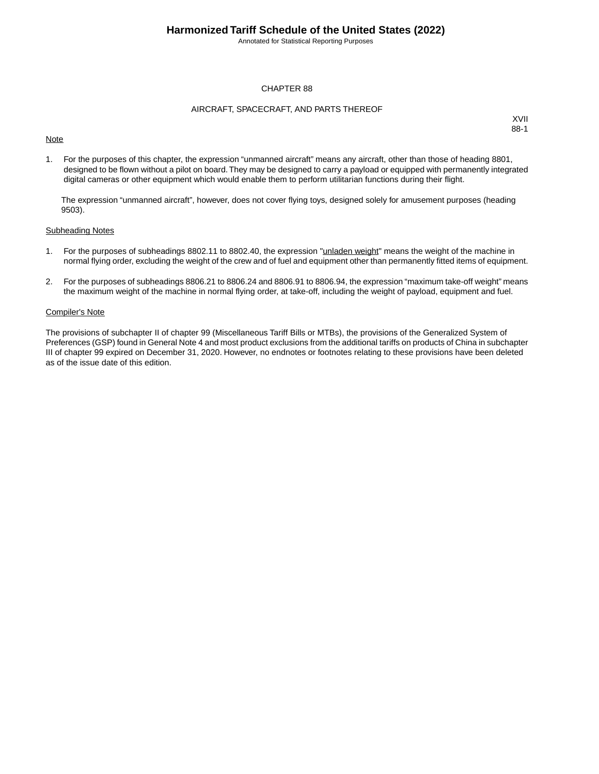Annotated for Statistical Reporting Purposes

### CHAPTER 88

#### AIRCRAFT, SPACECRAFT, AND PARTS THEREOF

### **Note**

XVII 88-1

1. For the purposes of this chapter, the expression "unmanned aircraft" means any aircraft, other than those of heading 8801, designed to be flown without a pilot on board.They may be designed to carry a payload or equipped with permanently integrated digital cameras or other equipment which would enable them to perform utilitarian functions during their flight.

The expression "unmanned aircraft", however, does not cover flying toys, designed solely for amusement purposes (heading 9503).

#### Subheading Notes

- 1. For the purposes of subheadings 8802.11 to 8802.40, the expression "unladen weight" means the weight of the machine in normal flying order, excluding the weight of the crew and of fuel and equipment other than permanently fitted items of equipment.
- 2. For the purposes of subheadings 8806.21 to 8806.24 and 8806.91 to 8806.94, the expression "maximum take-off weight" means the maximum weight of the machine in normal flying order, at take-off, including the weight of payload, equipment and fuel.

### Compiler's Note

The provisions of subchapter II of chapter 99 (Miscellaneous Tariff Bills or MTBs), the provisions of the Generalized System of Preferences (GSP) found in General Note 4 and most product exclusions from the additional tariffs on products of China in subchapter III of chapter 99 expired on December 31, 2020. However, no endnotes or footnotes relating to these provisions have been deleted as of the issue date of this edition.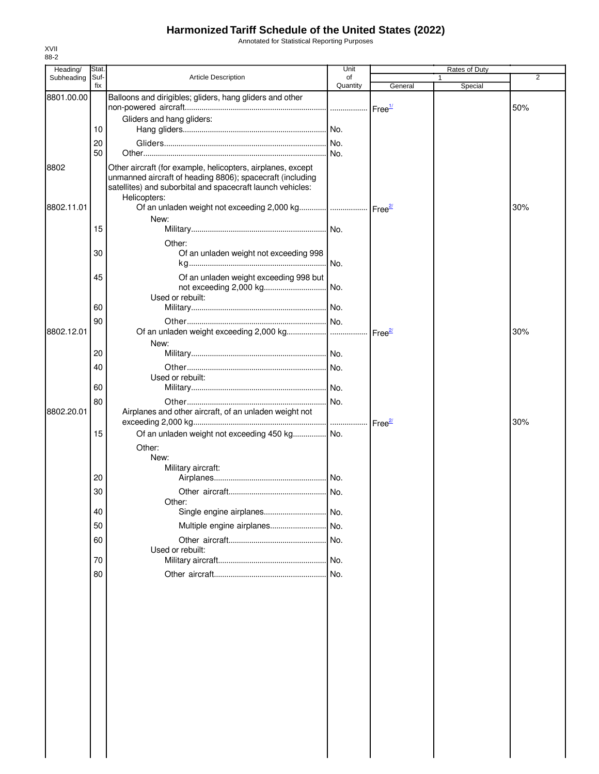Annotated for Statistical Reporting Purposes

| Heading/   | Stat.       |                                                                                                                                                                                                        | Unit           |                    | Rates of Duty |     |
|------------|-------------|--------------------------------------------------------------------------------------------------------------------------------------------------------------------------------------------------------|----------------|--------------------|---------------|-----|
| Subheading | Suf-<br>fix | Article Description                                                                                                                                                                                    | of<br>Quantity | General            | Special       | 2   |
| 8801.00.00 |             | Balloons and dirigibles; gliders, hang gliders and other                                                                                                                                               |                |                    |               |     |
|            |             |                                                                                                                                                                                                        |                | Free <sup>1/</sup> |               | 50% |
|            |             | Gliders and hang gliders:                                                                                                                                                                              |                |                    |               |     |
|            | 10          |                                                                                                                                                                                                        |                |                    |               |     |
|            | 20          |                                                                                                                                                                                                        |                |                    |               |     |
|            | 50          |                                                                                                                                                                                                        |                |                    |               |     |
| 8802       |             | Other aircraft (for example, helicopters, airplanes, except<br>unmanned aircraft of heading 8806); spacecraft (including<br>satellites) and suborbital and spacecraft launch vehicles:<br>Helicopters: |                |                    |               |     |
| 8802.11.01 |             |                                                                                                                                                                                                        |                |                    |               | 30% |
|            | 15          | New:                                                                                                                                                                                                   |                |                    |               |     |
|            |             |                                                                                                                                                                                                        |                |                    |               |     |
|            | 30          | Other:<br>Of an unladen weight not exceeding 998                                                                                                                                                       |                |                    |               |     |
|            |             |                                                                                                                                                                                                        | .I No.         |                    |               |     |
|            | 45          | Of an unladen weight exceeding 998 but<br>Used or rebuilt:                                                                                                                                             |                |                    |               |     |
|            | 60          |                                                                                                                                                                                                        |                |                    |               |     |
|            | 90          |                                                                                                                                                                                                        |                |                    |               |     |
| 8802.12.01 |             |                                                                                                                                                                                                        |                |                    |               | 30% |
|            |             | New:                                                                                                                                                                                                   |                |                    |               |     |
|            | 20          |                                                                                                                                                                                                        |                |                    |               |     |
|            | 40          | Used or rebuilt:                                                                                                                                                                                       |                |                    |               |     |
|            | 60          |                                                                                                                                                                                                        |                |                    |               |     |
|            | 80          |                                                                                                                                                                                                        |                |                    |               |     |
| 8802.20.01 |             | Airplanes and other aircraft, of an unladen weight not                                                                                                                                                 |                |                    |               | 30% |
|            | 15          | Of an unladen weight not exceeding 450 kg No.                                                                                                                                                          |                |                    |               |     |
|            |             | Other:<br>New:                                                                                                                                                                                         |                |                    |               |     |
|            |             | Military aircraft:                                                                                                                                                                                     |                |                    |               |     |
|            | 20          |                                                                                                                                                                                                        |                |                    |               |     |
|            | 30          | Other:                                                                                                                                                                                                 |                |                    |               |     |
|            | 40          |                                                                                                                                                                                                        |                |                    |               |     |
|            | 50          | Multiple engine airplanes                                                                                                                                                                              | No.            |                    |               |     |
|            | 60          | Used or rebuilt:                                                                                                                                                                                       |                |                    |               |     |
|            | 70          |                                                                                                                                                                                                        |                |                    |               |     |
|            | 80          |                                                                                                                                                                                                        |                |                    |               |     |
|            |             |                                                                                                                                                                                                        |                |                    |               |     |
|            |             |                                                                                                                                                                                                        |                |                    |               |     |
|            |             |                                                                                                                                                                                                        |                |                    |               |     |
|            |             |                                                                                                                                                                                                        |                |                    |               |     |
|            |             |                                                                                                                                                                                                        |                |                    |               |     |
|            |             |                                                                                                                                                                                                        |                |                    |               |     |
|            |             |                                                                                                                                                                                                        |                |                    |               |     |
|            |             |                                                                                                                                                                                                        |                |                    |               |     |
|            |             |                                                                                                                                                                                                        |                |                    |               |     |
|            |             |                                                                                                                                                                                                        |                |                    |               |     |
|            |             |                                                                                                                                                                                                        |                |                    |               |     |
|            |             |                                                                                                                                                                                                        |                |                    |               |     |
|            |             |                                                                                                                                                                                                        |                |                    |               |     |
|            |             |                                                                                                                                                                                                        |                |                    |               |     |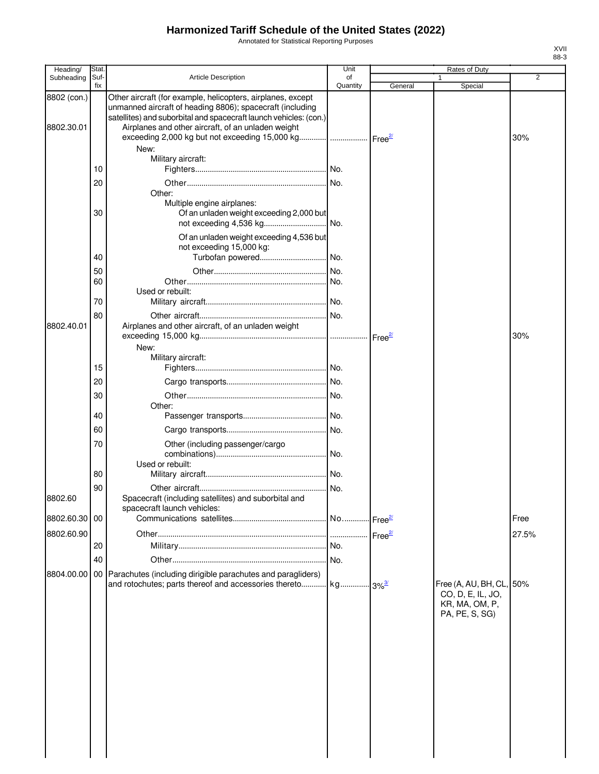Annotated for Statistical Reporting Purposes

| Heading/      | Stat        |                                                                                                                                                                                               | Unit           |         | Rates of Duty                                                                     |       |
|---------------|-------------|-----------------------------------------------------------------------------------------------------------------------------------------------------------------------------------------------|----------------|---------|-----------------------------------------------------------------------------------|-------|
| Subheading    | Suf-<br>fix | <b>Article Description</b>                                                                                                                                                                    | of<br>Quantity | General | Special                                                                           | 2     |
| 8802 (con.)   |             | Other aircraft (for example, helicopters, airplanes, except<br>unmanned aircraft of heading 8806); spacecraft (including<br>satellites) and suborbital and spacecraft launch vehicles: (con.) |                |         |                                                                                   |       |
| 8802.30.01    |             | Airplanes and other aircraft, of an unladen weight<br>exceeding 2,000 kg but not exceeding 15,000 kg    Free <sup>2</sup><br>New:                                                             |                |         |                                                                                   | 30%   |
|               | 10          | Military aircraft:                                                                                                                                                                            |                |         |                                                                                   |       |
|               | 20          |                                                                                                                                                                                               |                |         |                                                                                   |       |
|               | 30          | Other:<br>Multiple engine airplanes:<br>Of an unladen weight exceeding 2,000 but                                                                                                              |                |         |                                                                                   |       |
|               |             | Of an unladen weight exceeding 4,536 but<br>not exceeding 15,000 kg:                                                                                                                          |                |         |                                                                                   |       |
|               | 40          |                                                                                                                                                                                               |                |         |                                                                                   |       |
|               | 50          |                                                                                                                                                                                               |                |         |                                                                                   |       |
|               | 60          |                                                                                                                                                                                               |                |         |                                                                                   |       |
|               | 70          | Used or rebuilt:                                                                                                                                                                              |                |         |                                                                                   |       |
|               |             |                                                                                                                                                                                               |                |         |                                                                                   |       |
| 8802.40.01    | 80          | Airplanes and other aircraft, of an unladen weight                                                                                                                                            |                |         |                                                                                   | 30%   |
|               |             | New:                                                                                                                                                                                          |                |         |                                                                                   |       |
|               |             | Military aircraft:                                                                                                                                                                            |                |         |                                                                                   |       |
|               | 15          |                                                                                                                                                                                               |                |         |                                                                                   |       |
|               | 20          |                                                                                                                                                                                               |                |         |                                                                                   |       |
|               | 30          | Other:                                                                                                                                                                                        |                |         |                                                                                   |       |
|               | 40          |                                                                                                                                                                                               |                |         |                                                                                   |       |
|               | 60          |                                                                                                                                                                                               |                |         |                                                                                   |       |
|               | 70          | Other (including passenger/cargo                                                                                                                                                              |                |         |                                                                                   |       |
|               |             | Used or rebuilt:                                                                                                                                                                              |                |         |                                                                                   |       |
|               | 80          |                                                                                                                                                                                               |                |         |                                                                                   |       |
| 8802.60       | 90          | Spacecraft (including satellites) and suborbital and<br>spacecraft launch vehicles:                                                                                                           |                |         |                                                                                   |       |
| 8802.60.30 00 |             |                                                                                                                                                                                               |                |         |                                                                                   | Free  |
| 8802.60.90    |             |                                                                                                                                                                                               |                |         |                                                                                   | 27.5% |
|               | 20          |                                                                                                                                                                                               |                |         |                                                                                   |       |
|               | 40          |                                                                                                                                                                                               | No.            |         |                                                                                   |       |
| 8804.00.00    |             | 00 Parachutes (including dirigible parachutes and paragliders)                                                                                                                                |                |         |                                                                                   |       |
|               |             | and rotochutes; parts thereof and accessories thereto kg 3% <sup>3/</sup>                                                                                                                     |                |         | Free (A, AU, BH, CL, 50%<br>CO, D, E, IL, JO,<br>KR, MA, OM, P,<br>PA, PE, S, SG) |       |
|               |             |                                                                                                                                                                                               |                |         |                                                                                   |       |
|               |             |                                                                                                                                                                                               |                |         |                                                                                   |       |
|               |             |                                                                                                                                                                                               |                |         |                                                                                   |       |
|               |             |                                                                                                                                                                                               |                |         |                                                                                   |       |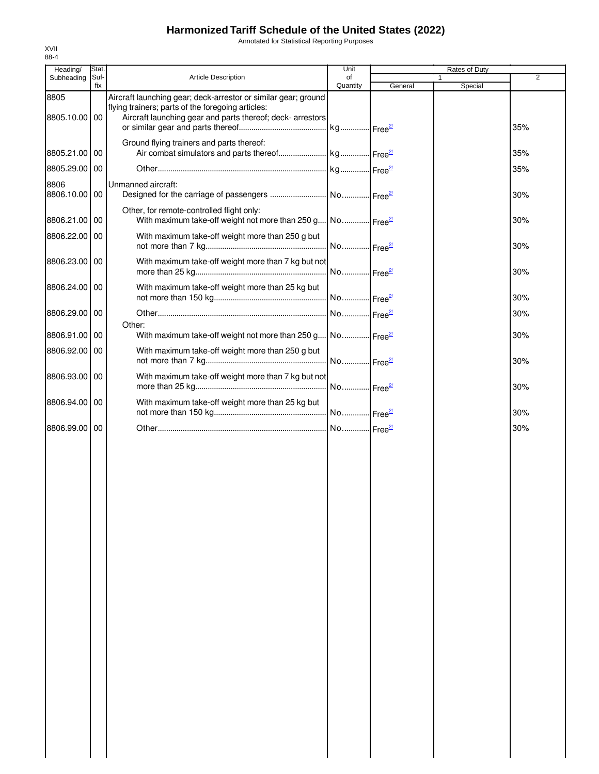Annotated for Statistical Reporting Purposes

| Heading/              | Stat.       |                                                                                                                                                                                   | Unit           |         | Rates of Duty           |                |
|-----------------------|-------------|-----------------------------------------------------------------------------------------------------------------------------------------------------------------------------------|----------------|---------|-------------------------|----------------|
| Subheading            | Suf-<br>fix | Article Description                                                                                                                                                               | of<br>Quantity | General | $\mathbf{1}$<br>Special | $\overline{2}$ |
| 8805<br>8805.10.00 00 |             | Aircraft launching gear; deck-arrestor or similar gear; ground<br>flying trainers; parts of the foregoing articles:<br>Aircraft launching gear and parts thereof; deck- arrestors |                |         |                         | 35%            |
| 8805.21.00 00         |             | Ground flying trainers and parts thereof:                                                                                                                                         |                |         |                         | 35%            |
| 8805.29.00 00         |             |                                                                                                                                                                                   |                |         |                         | 35%            |
| 8806<br>8806.10.00 00 |             | Unmanned aircraft:                                                                                                                                                                |                |         |                         | 30%            |
| 8806.21.00 00         |             | Other, for remote-controlled flight only:<br>With maximum take-off weight not more than 250 g No Free <sup>21</sup>                                                               |                |         |                         | 30%            |
| 8806.22.00 00         |             | With maximum take-off weight more than 250 g but                                                                                                                                  |                |         |                         | 30%            |
| 8806.23.00 00         |             | With maximum take-off weight more than 7 kg but not                                                                                                                               |                |         |                         | 30%            |
| 8806.24.00 00         |             | With maximum take-off weight more than 25 kg but                                                                                                                                  |                |         |                         | 30%            |
| 8806.29.00 00         |             |                                                                                                                                                                                   |                |         |                         | 30%            |
| 8806.91.00 00         |             | Other:<br>With maximum take-off weight not more than 250 g No Free <sup>27</sup>                                                                                                  |                |         |                         | 30%            |
| 8806.92.00 00         |             | With maximum take-off weight more than 250 g but                                                                                                                                  |                |         |                         | 30%            |
| 8806.93.00 00         |             | With maximum take-off weight more than 7 kg but not                                                                                                                               |                |         |                         | 30%            |
| 8806.94.00 00         |             | With maximum take-off weight more than 25 kg but                                                                                                                                  |                |         |                         | 30%            |
| 8806.99.00 00         |             |                                                                                                                                                                                   |                |         |                         | 30%            |
|                       |             |                                                                                                                                                                                   |                |         |                         |                |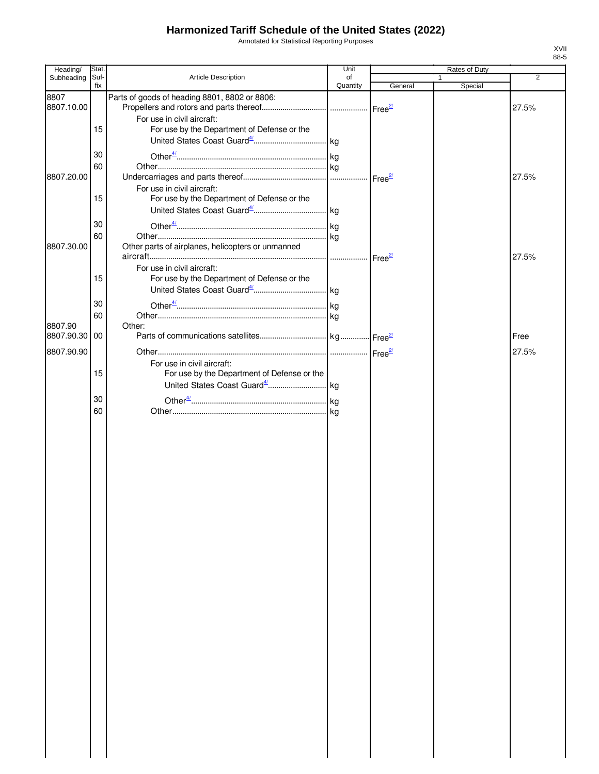Annotated for Statistical Reporting Purposes

| Heading/      | Stat.       |                                                                           | Unit     | Rates of Duty |         |                |
|---------------|-------------|---------------------------------------------------------------------------|----------|---------------|---------|----------------|
| Subheading    | Suf-<br>fix | <b>Article Description</b>                                                | of       |               |         | $\overline{2}$ |
| 8807          |             | Parts of goods of heading 8801, 8802 or 8806:                             | Quantity | General       | Special |                |
| 8807.10.00    |             |                                                                           |          |               |         | 27.5%          |
|               |             | For use in civil aircraft:                                                |          |               |         |                |
|               | 15          | For use by the Department of Defense or the                               |          |               |         |                |
|               |             |                                                                           |          |               |         |                |
|               |             |                                                                           |          |               |         |                |
|               | 30          |                                                                           |          |               |         |                |
|               | 60          |                                                                           |          |               |         |                |
| 8807.20.00    |             |                                                                           |          |               |         | 27.5%          |
|               | 15          | For use in civil aircraft:<br>For use by the Department of Defense or the |          |               |         |                |
|               |             |                                                                           |          |               |         |                |
|               |             |                                                                           |          |               |         |                |
|               | 30          |                                                                           |          |               |         |                |
|               | 60          |                                                                           |          |               |         |                |
| 8807.30.00    |             | Other parts of airplanes, helicopters or unmanned                         |          |               |         |                |
|               |             |                                                                           |          |               |         | 27.5%          |
|               |             | For use in civil aircraft:                                                |          |               |         |                |
|               | 15          | For use by the Department of Defense or the                               |          |               |         |                |
|               |             |                                                                           |          |               |         |                |
|               | 30          |                                                                           |          |               |         |                |
|               | 60          |                                                                           |          |               |         |                |
| 8807.90       |             | Other:                                                                    |          |               |         |                |
| 8807.90.30 00 |             |                                                                           |          |               |         | Free           |
| 8807.90.90    |             |                                                                           |          |               |         | 27.5%          |
|               |             | For use in civil aircraft:                                                |          |               |         |                |
|               | 15          | For use by the Department of Defense or the                               |          |               |         |                |
|               |             |                                                                           |          |               |         |                |
|               | 30          |                                                                           |          |               |         |                |
|               | 60          |                                                                           |          |               |         |                |
|               |             |                                                                           |          |               |         |                |
|               |             |                                                                           |          |               |         |                |
|               |             |                                                                           |          |               |         |                |
|               |             |                                                                           |          |               |         |                |
|               |             |                                                                           |          |               |         |                |
|               |             |                                                                           |          |               |         |                |
|               |             |                                                                           |          |               |         |                |
|               |             |                                                                           |          |               |         |                |
|               |             |                                                                           |          |               |         |                |
|               |             |                                                                           |          |               |         |                |
|               |             |                                                                           |          |               |         |                |
|               |             |                                                                           |          |               |         |                |
|               |             |                                                                           |          |               |         |                |
|               |             |                                                                           |          |               |         |                |
|               |             |                                                                           |          |               |         |                |
|               |             |                                                                           |          |               |         |                |
|               |             |                                                                           |          |               |         |                |
|               |             |                                                                           |          |               |         |                |
|               |             |                                                                           |          |               |         |                |
|               |             |                                                                           |          |               |         |                |
|               |             |                                                                           |          |               |         |                |
|               |             |                                                                           |          |               |         |                |
|               |             |                                                                           |          |               |         |                |
|               |             |                                                                           |          |               |         |                |
|               |             |                                                                           |          |               |         |                |
|               |             |                                                                           |          |               |         |                |
|               |             |                                                                           |          |               |         |                |
|               |             |                                                                           |          |               |         |                |
|               |             |                                                                           |          |               |         |                |
|               |             |                                                                           |          |               |         |                |
|               |             |                                                                           |          |               |         |                |